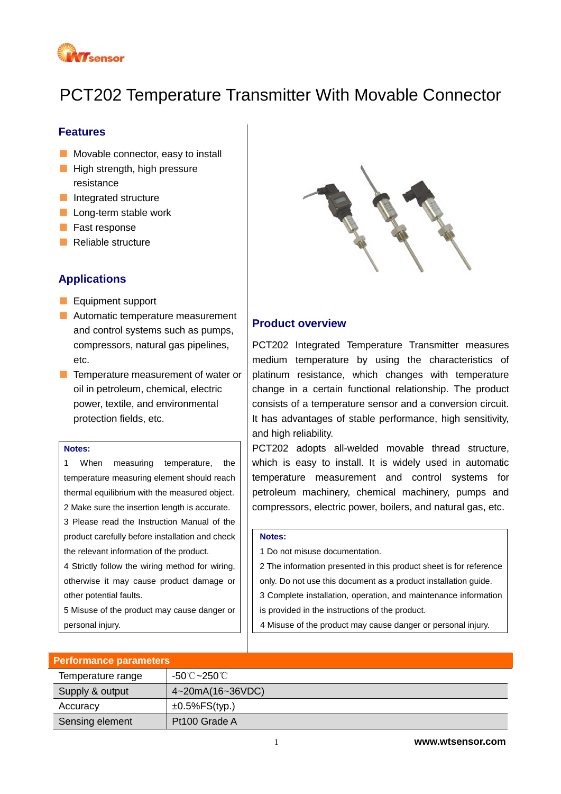

# PCT202 Temperature Transmitter With Movable Connector

#### **Features**

- Movable connector, easy to install
- High strength, high pressure resistance
- Integrated structure
- Long-term stable work
- Fast response
- Reliable structure

# **Applications**

- Equipment support
- Automatic temperature measurement and control systems such as pumps, compressors, natural gas pipelines, etc.
- Temperature measurement of water or oil in petroleum, chemical, electric power, textile, and environmental protection fields, etc.

#### **Notes:**

1 When measuring temperature, the temperature measuring element should reach thermal equilibrium with the measured object. 2 Make sure the insertion length is accurate. 3 Please read the Instruction Manual of the product carefully before installation and check the relevant information of the product.

4 Strictly follow the wiring method for wiring, otherwise it may cause product damage or other potential faults.

5 Misuse of the product may cause danger or personal injury.



## **Product overview**

PCT202 Integrated Temperature Transmitter measures medium temperature by using the characteristics of platinum resistance, which changes with temperature change in a certain functional relationship. The product consists of a temperature sensor and a conversion circuit. It has advantages of stable performance, high sensitivity, and high reliability.

PCT202 adopts all-welded movable thread structure, which is easy to install. It is widely used in automatic temperature measurement and control systems for petroleum machinery, chemical machinery, pumps and compressors, electric power, boilers, and natural gas, etc.

#### **Notes:**

1 Do not misuse documentation.

2 The information presented in this product sheet is for reference

only. Do not use this document as a product installation guide.

3 Complete installation, operation, and maintenance information

is provided in the instructions of the product.

4 Misuse of the product may cause danger or personal injury.

| <b>Performance parameters</b> |                      |  |  |
|-------------------------------|----------------------|--|--|
| Temperature range             | -50℃~250℃            |  |  |
| Supply & output               | 4~20mA(16~36VDC)     |  |  |
| Accuracy                      | $\pm 0.5\%$ FS(typ.) |  |  |
| Sensing element               | Pt100 Grade A        |  |  |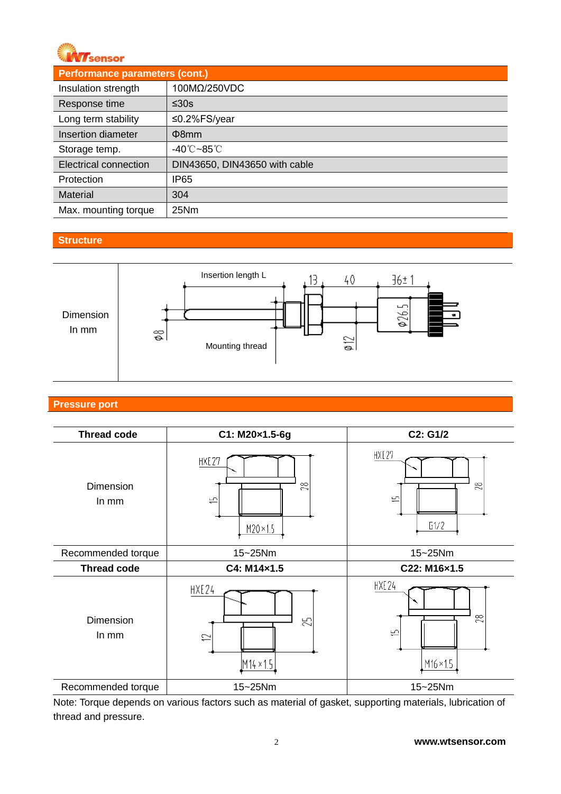

| <b>Performance parameters (cont.)</b> |                                 |  |  |
|---------------------------------------|---------------------------------|--|--|
| Insulation strength                   | 100MΩ/250VDC                    |  |  |
| Response time                         | ≤30s                            |  |  |
| Long term stability                   | ≤0.2%FS/year                    |  |  |
| Insertion diameter                    | $\Phi$ 8mm                      |  |  |
| Storage temp.                         | $-40^{\circ}$ C $-85^{\circ}$ C |  |  |
| <b>Electrical connection</b>          | DIN43650, DIN43650 with cable   |  |  |
| Protection                            | <b>IP65</b>                     |  |  |
| <b>Material</b>                       | 304                             |  |  |
| Max. mounting torque                  | 25Nm                            |  |  |

#### **Structure**



# **Pressure port**

| <b>Thread code</b> | C1: M20×1.5-6g                      | C2: G1/2                                                 |  |
|--------------------|-------------------------------------|----------------------------------------------------------|--|
| Dimension<br>In mm | HXE27<br>$\approx$<br>巴<br>M20×1.5  | HXE27<br>$\approx$<br>د<br>51/2                          |  |
| Recommended torque | 15~25Nm                             | 15~25Nm                                                  |  |
| <b>Thread code</b> | C4: M14×1.5                         | C22: M16×1.5                                             |  |
| Dimension<br>In mm | HXE24<br>呂<br>$\simeq$<br>M14 × 1.5 | HXE24<br>$\approx$<br>$\overline{1}$<br>$M16 \times 1.5$ |  |
| Recommended torque | 15~25Nm                             | 15~25Nm                                                  |  |

Note: Torque depends on various factors such as material of gasket, supporting materials, lubrication of thread and pressure.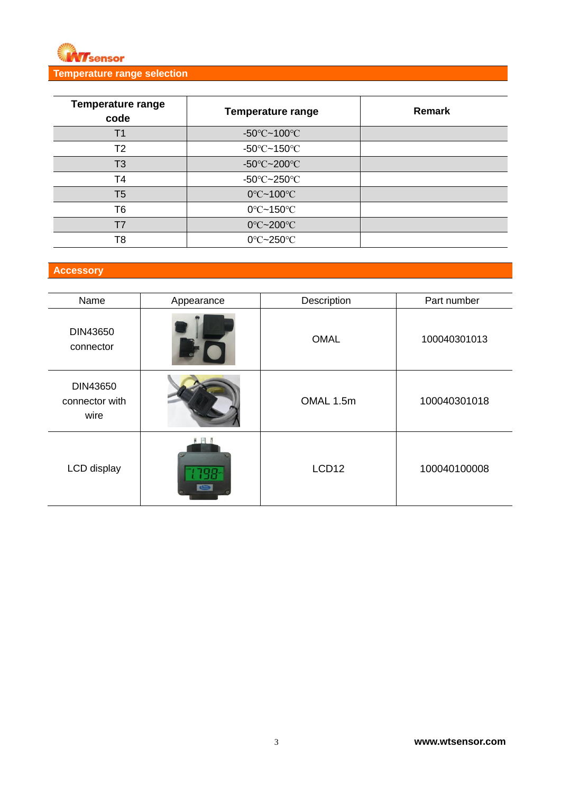

| <b>Temperature range</b><br>code | <b>Temperature range</b>                | <b>Remark</b> |
|----------------------------------|-----------------------------------------|---------------|
| Τ1                               | $-50^{\circ}$ C $-100^{\circ}$ C        |               |
| T2                               | -50 $\textdegree$ C~150 $\textdegree$ C |               |
| T <sub>3</sub>                   | -50 $\textdegree$ C~200 $\textdegree$ C |               |
| T4                               | $-50^{\circ}$ C $-250^{\circ}$ C        |               |
| T <sub>5</sub>                   | $0^{\circ}$ C~100 $^{\circ}$ C          |               |
| T <sub>6</sub>                   | $0^{\circ}$ C~150 $^{\circ}$ C          |               |
|                                  | 0°C~200°C                               |               |
| T8                               | $0^{\circ}$ C~250 $^{\circ}$ C          |               |

# **Accessory**

| Name                               | Appearance | Description       | Part number  |
|------------------------------------|------------|-------------------|--------------|
| DIN43650<br>connector              |            | <b>OMAL</b>       | 100040301013 |
| DIN43650<br>connector with<br>wire |            | OMAL 1.5m         | 100040301018 |
| LCD display                        |            | LCD <sub>12</sub> | 100040100008 |